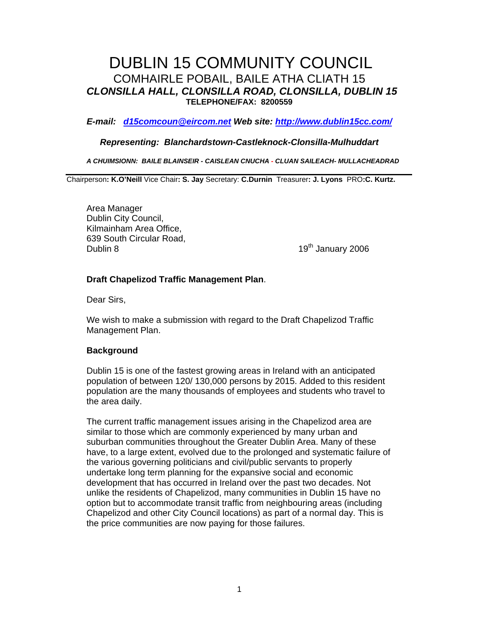# DUBLIN 15 COMMUNITY COUNCIL COMHAIRLE POBAIL, BAILE ATHA CLIATH 15 **CLONSILLA HALL, CLONSILLA ROAD, CLONSILLA, DUBLIN 15 TELEPHONE/FAX: 8200559**

**E-mail: d15comcoun@eircom.net Web site: http://www.dublin15cc.com/**

## **Representing: Blanchardstown-Castleknock-Clonsilla-Mulhuddart**

**A CHUIMSIONN: BAILE BLAINSEIR - CAISLEAN CNUCHA - CLUAN SAILEACH- MULLACHEADRAD** 

Chairperson**: K.O'Neill** Vice Chair**: S. Jay** Secretary: **C.Durnin** Treasurer**: J. Lyons** PRO**:C. Kurtz.** 

Area Manager Dublin City Council, Kilmainham Area Office, 639 South Circular Road, Dublin 8 19th January 2006

# **Draft Chapelizod Traffic Management Plan**.

Dear Sirs,

We wish to make a submission with regard to the Draft Chapelizod Traffic Management Plan.

## **Background**

Dublin 15 is one of the fastest growing areas in Ireland with an anticipated population of between 120/ 130,000 persons by 2015. Added to this resident population are the many thousands of employees and students who travel to the area daily.

The current traffic management issues arising in the Chapelizod area are similar to those which are commonly experienced by many urban and suburban communities throughout the Greater Dublin Area. Many of these have, to a large extent, evolved due to the prolonged and systematic failure of the various governing politicians and civil/public servants to properly undertake long term planning for the expansive social and economic development that has occurred in Ireland over the past two decades. Not unlike the residents of Chapelizod, many communities in Dublin 15 have no option but to accommodate transit traffic from neighbouring areas (including Chapelizod and other City Council locations) as part of a normal day. This is the price communities are now paying for those failures.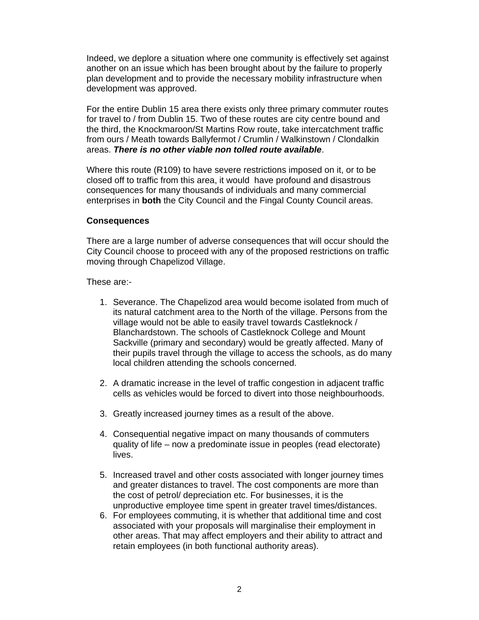Indeed, we deplore a situation where one community is effectively set against another on an issue which has been brought about by the failure to properly plan development and to provide the necessary mobility infrastructure when development was approved.

For the entire Dublin 15 area there exists only three primary commuter routes for travel to / from Dublin 15. Two of these routes are city centre bound and the third, the Knockmaroon/St Martins Row route, take intercatchment traffic from ours / Meath towards Ballyfermot / Crumlin / Walkinstown / Clondalkin areas. **There is no other viable non tolled route available**.

Where this route (R109) to have severe restrictions imposed on it, or to be closed off to traffic from this area, it would have profound and disastrous consequences for many thousands of individuals and many commercial enterprises in **both** the City Council and the Fingal County Council areas.

#### **Consequences**

There are a large number of adverse consequences that will occur should the City Council choose to proceed with any of the proposed restrictions on traffic moving through Chapelizod Village.

#### These are:-

- 1. Severance. The Chapelizod area would become isolated from much of its natural catchment area to the North of the village. Persons from the village would not be able to easily travel towards Castleknock / Blanchardstown. The schools of Castleknock College and Mount Sackville (primary and secondary) would be greatly affected. Many of their pupils travel through the village to access the schools, as do many local children attending the schools concerned.
- 2. A dramatic increase in the level of traffic congestion in adjacent traffic cells as vehicles would be forced to divert into those neighbourhoods.
- 3. Greatly increased journey times as a result of the above.
- 4. Consequential negative impact on many thousands of commuters quality of life – now a predominate issue in peoples (read electorate) lives.
- 5. Increased travel and other costs associated with longer journey times and greater distances to travel. The cost components are more than the cost of petrol/ depreciation etc. For businesses, it is the unproductive employee time spent in greater travel times/distances.
- 6. For employees commuting, it is whether that additional time and cost associated with your proposals will marginalise their employment in other areas. That may affect employers and their ability to attract and retain employees (in both functional authority areas).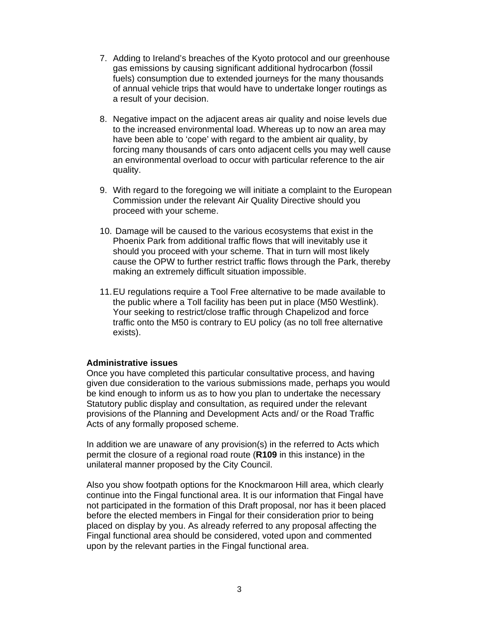- 7. Adding to Ireland's breaches of the Kyoto protocol and our greenhouse gas emissions by causing significant additional hydrocarbon (fossil fuels) consumption due to extended journeys for the many thousands of annual vehicle trips that would have to undertake longer routings as a result of your decision.
- 8. Negative impact on the adjacent areas air quality and noise levels due to the increased environmental load. Whereas up to now an area may have been able to 'cope' with regard to the ambient air quality, by forcing many thousands of cars onto adjacent cells you may well cause an environmental overload to occur with particular reference to the air quality.
- 9. With regard to the foregoing we will initiate a complaint to the European Commission under the relevant Air Quality Directive should you proceed with your scheme.
- 10. Damage will be caused to the various ecosystems that exist in the Phoenix Park from additional traffic flows that will inevitably use it should you proceed with your scheme. That in turn will most likely cause the OPW to further restrict traffic flows through the Park, thereby making an extremely difficult situation impossible.
- 11. EU regulations require a Tool Free alternative to be made available to the public where a Toll facility has been put in place (M50 Westlink). Your seeking to restrict/close traffic through Chapelizod and force traffic onto the M50 is contrary to EU policy (as no toll free alternative exists).

## **Administrative issues**

Once you have completed this particular consultative process, and having given due consideration to the various submissions made, perhaps you would be kind enough to inform us as to how you plan to undertake the necessary Statutory public display and consultation, as required under the relevant provisions of the Planning and Development Acts and/ or the Road Traffic Acts of any formally proposed scheme.

In addition we are unaware of any provision(s) in the referred to Acts which permit the closure of a regional road route (**R109** in this instance) in the unilateral manner proposed by the City Council.

Also you show footpath options for the Knockmaroon Hill area, which clearly continue into the Fingal functional area. It is our information that Fingal have not participated in the formation of this Draft proposal, nor has it been placed before the elected members in Fingal for their consideration prior to being placed on display by you. As already referred to any proposal affecting the Fingal functional area should be considered, voted upon and commented upon by the relevant parties in the Fingal functional area.